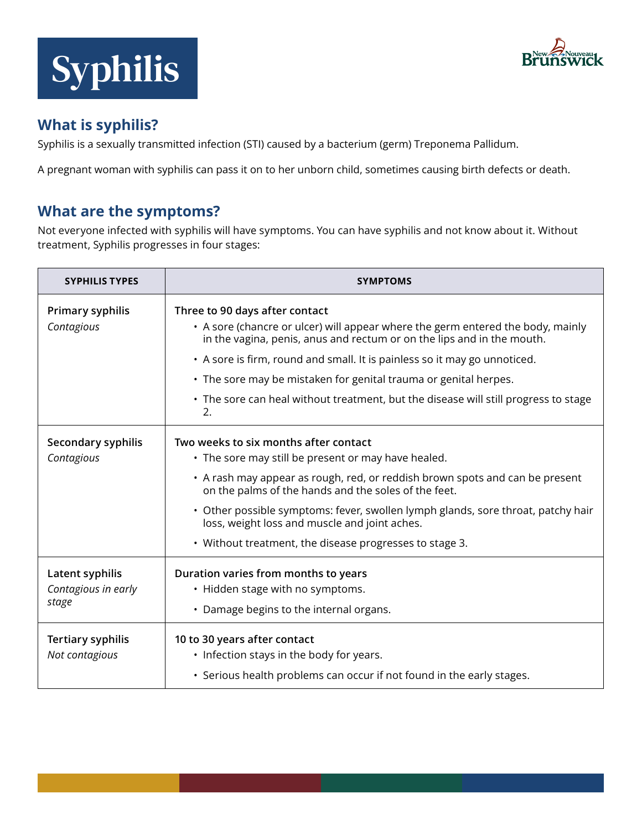



# **What is syphilis?**

Syphilis is a sexually transmitted infection (STI) caused by a bacterium (germ) Treponema Pallidum.

A pregnant woman with syphilis can pass it on to her unborn child, sometimes causing birth defects or death.

# **What are the symptoms?**

Not everyone infected with syphilis will have symptoms. You can have syphilis and not know about it. Without treatment, Syphilis progresses in four stages:

| <b>SYPHILIS TYPES</b>                           | <b>SYMPTOMS</b>                                                                                                                                                                                                                                                                                                                                                                                                                           |
|-------------------------------------------------|-------------------------------------------------------------------------------------------------------------------------------------------------------------------------------------------------------------------------------------------------------------------------------------------------------------------------------------------------------------------------------------------------------------------------------------------|
| Primary syphilis<br>Contagious                  | Three to 90 days after contact<br>• A sore (chancre or ulcer) will appear where the germ entered the body, mainly<br>in the vagina, penis, anus and rectum or on the lips and in the mouth.<br>• A sore is firm, round and small. It is painless so it may go unnoticed.<br>• The sore may be mistaken for genital trauma or genital herpes.<br>• The sore can heal without treatment, but the disease will still progress to stage<br>2. |
| Secondary syphilis<br>Contagious                | Two weeks to six months after contact<br>• The sore may still be present or may have healed.<br>• A rash may appear as rough, red, or reddish brown spots and can be present<br>on the palms of the hands and the soles of the feet.<br>• Other possible symptoms: fever, swollen lymph glands, sore throat, patchy hair<br>loss, weight loss and muscle and joint aches.<br>• Without treatment, the disease progresses to stage 3.      |
| Latent syphilis<br>Contagious in early<br>stage | Duration varies from months to years<br>• Hidden stage with no symptoms.<br>• Damage begins to the internal organs.                                                                                                                                                                                                                                                                                                                       |
| <b>Tertiary syphilis</b><br>Not contagious      | 10 to 30 years after contact<br>• Infection stays in the body for years.<br>• Serious health problems can occur if not found in the early stages.                                                                                                                                                                                                                                                                                         |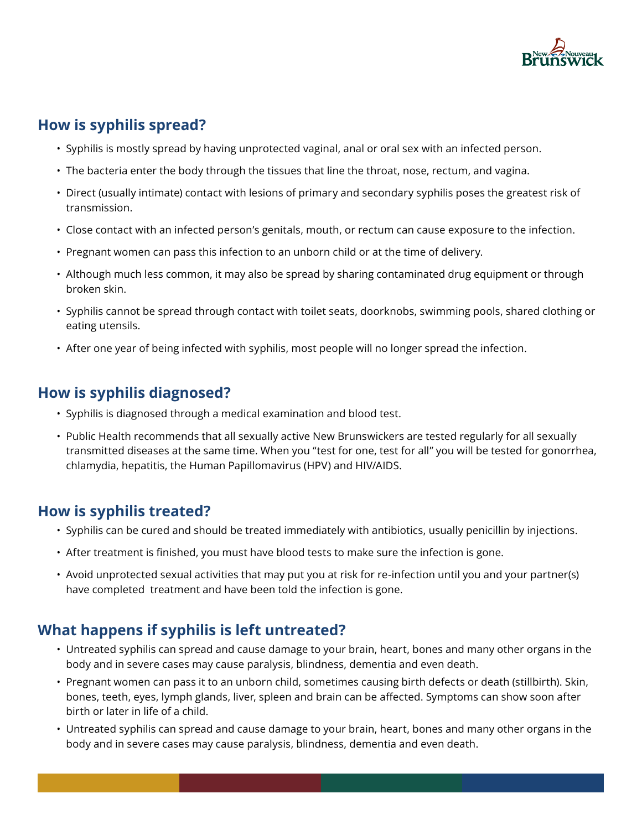

## **How is syphilis spread?**

- Syphilis is mostly spread by having unprotected vaginal, anal or oral sex with an infected person.
- The bacteria enter the body through the tissues that line the throat, nose, rectum, and vagina.
- Direct (usually intimate) contact with lesions of primary and secondary syphilis poses the greatest risk of transmission.
- Close contact with an infected person's genitals, mouth, or rectum can cause exposure to the infection.
- Pregnant women can pass this infection to an unborn child or at the time of delivery.
- Although much less common, it may also be spread by sharing contaminated drug equipment or through broken skin.
- Syphilis cannot be spread through contact with toilet seats, doorknobs, swimming pools, shared clothing or eating utensils.
- After one year of being infected with syphilis, most people will no longer spread the infection.

#### **How is syphilis diagnosed?**

- Syphilis is diagnosed through a medical examination and blood test.
- Public Health recommends that all sexually active New Brunswickers are tested regularly for all sexually transmitted diseases at the same time. When you "test for one, test for all" you will be tested for gonorrhea, chlamydia, hepatitis, the Human Papillomavirus (HPV) and HIV/AIDS.

## **How is syphilis treated?**

- Syphilis can be cured and should be treated immediately with antibiotics, usually penicillin by injections.
- After treatment is finished, you must have blood tests to make sure the infection is gone.
- Avoid unprotected sexual activities that may put you at risk for re-infection until you and your partner(s) have completed treatment and have been told the infection is gone.

# **What happens if syphilis is left untreated?**

- Untreated syphilis can spread and cause damage to your brain, heart, bones and many other organs in the body and in severe cases may cause paralysis, blindness, dementia and even death.
- Pregnant women can pass it to an unborn child, sometimes causing birth defects or death (stillbirth). Skin, bones, teeth, eyes, lymph glands, liver, spleen and brain can be affected. Symptoms can show soon after birth or later in life of a child.
- Untreated syphilis can spread and cause damage to your brain, heart, bones and many other organs in the body and in severe cases may cause paralysis, blindness, dementia and even death.